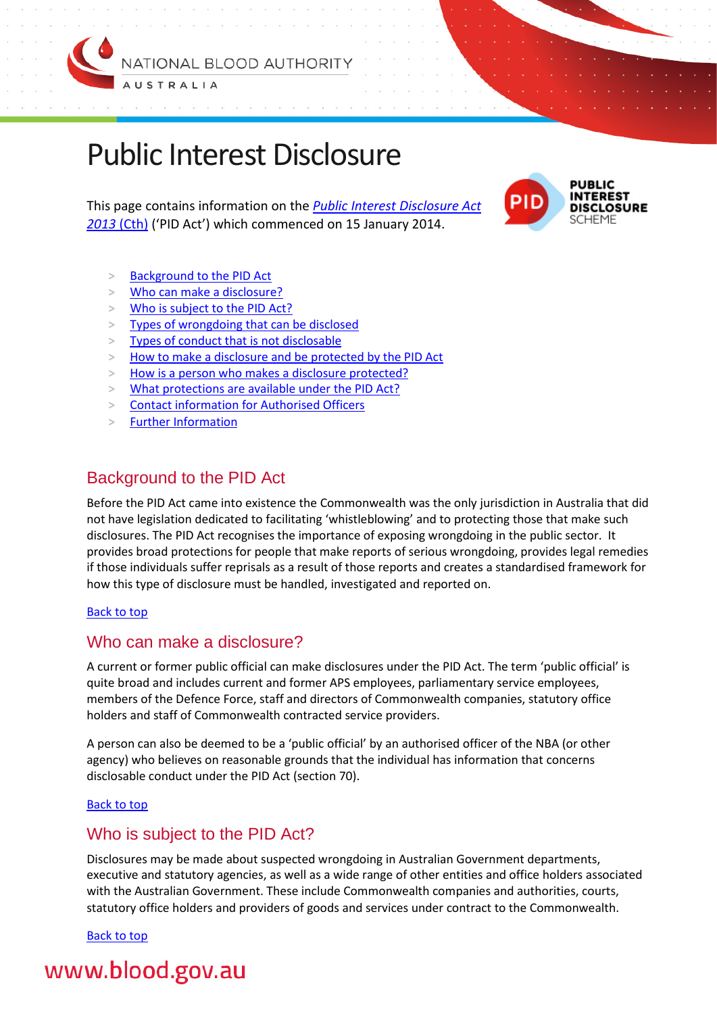

# <span id="page-0-3"></span>Public Interest Disclosure

This page contains information on the *[Public Interest Disclosure Act](http://www.comlaw.gov.au/Series/C2013A00133)  [2013](http://www.comlaw.gov.au/Series/C2013A00133)* (Cth) ('PID Act') which commenced on 15 January 2014.



- **>** [Background to the PID Act](#page-0-0)
- **>** [Who can make a disclosure?](#page-0-1)
- **>** [Who is subject to the PID Act?](#page-0-2)
- **>** [Types of wrongdoing that can be disclosed](#page-1-0)
- **>** [Types of conduct that is not disclosable](#page-1-1)
- **>** [How to make a disclosure and be protected by the PID Act](#page-1-2)
- **>** [How is a person who makes a disclosure protected?](#page-1-2)
- **>** [What protections are available under the PID Act?](#page-2-0)
- **>** [Contact information for Authorised Officers](#page-2-1)
- **>** [Further Information](#page-2-2)

## <span id="page-0-0"></span>Background to the PID Act

Before the PID Act came into existence the Commonwealth was the only jurisdiction in Australia that did not have legislation dedicated to facilitating 'whistleblowing' and to protecting those that make such disclosures. The PID Act recognises the importance of exposing wrongdoing in the public sector. It provides broad protections for people that make reports of serious wrongdoing, provides legal remedies if those individuals suffer reprisals as a result of those reports and creates a standardised framework for how this type of disclosure must be handled, investigated and reported on.

#### [Back to top](#page-0-3)

## <span id="page-0-1"></span>Who can make a disclosure?

A current or former public official can make disclosures under the PID Act. The term 'public official' is quite broad and includes current and former APS employees, parliamentary service employees, members of the Defence Force, staff and directors of Commonwealth companies, statutory office holders and staff of Commonwealth contracted service providers.

A person can also be deemed to be a 'public official' by an authorised officer of the NBA (or other agency) who believes on reasonable grounds that the individual has information that concerns disclosable conduct under the PID Act (section 70).

#### [Back to top](#page-0-3)

### <span id="page-0-2"></span>Who is subject to the PID Act?

Disclosures may be made about suspected wrongdoing in Australian Government departments, executive and statutory agencies, as well as a wide range of other entities and office holders associated with the Australian Government. These include Commonwealth companies and authorities, courts, statutory office holders and providers of goods and services under contract to the Commonwealth.

[Back to top](#page-0-3)

## www.blood.gov.au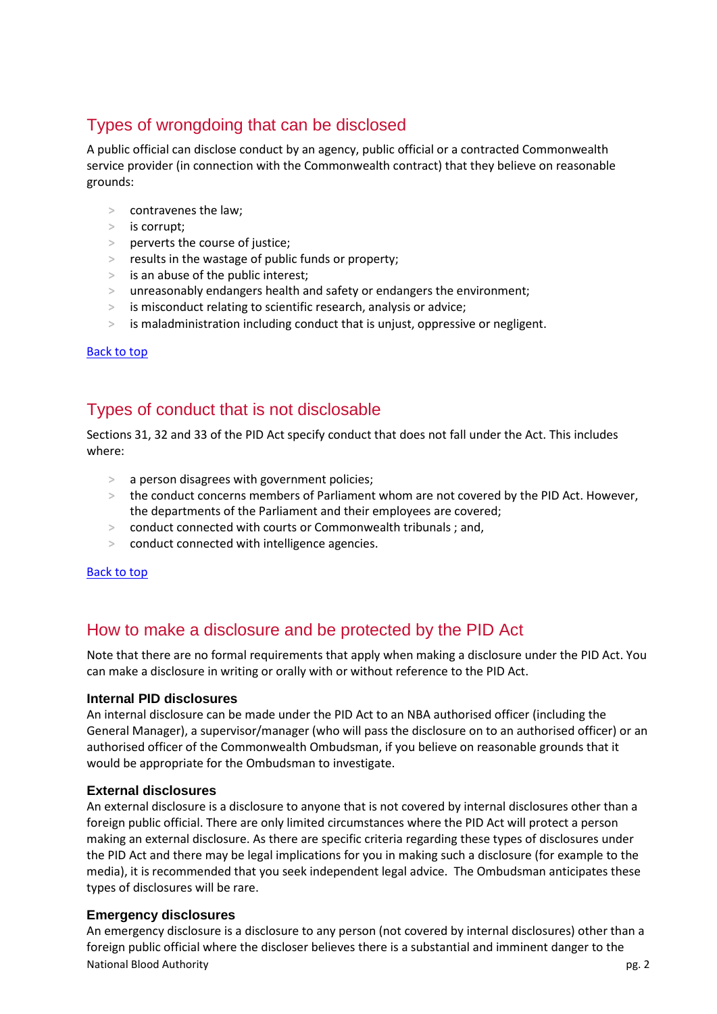## <span id="page-1-0"></span>Types of wrongdoing that can be disclosed

A public official can disclose conduct by an agency, public official or a contracted Commonwealth service provider (in connection with the Commonwealth contract) that they believe on reasonable grounds:

- **>** contravenes the law;
- **>** is corrupt;
- **>** perverts the course of justice;
- **>** results in the wastage of public funds or property;
- **>** is an abuse of the public interest;
- **>** unreasonably endangers health and safety or endangers the environment;
- **>** is misconduct relating to scientific research, analysis or advice;
- **>** is maladministration including conduct that is unjust, oppressive or negligent.

#### [Back to top](#page-0-3)

## <span id="page-1-1"></span>Types of conduct that is not disclosable

Sections 31, 32 and 33 of the PID Act specify conduct that does not fall under the Act. This includes where:

- **>** a person disagrees with government policies;
- **>** the conduct concerns members of Parliament whom are not covered by the PID Act. However, the departments of the Parliament and their employees are covered;
- **>** conduct connected with courts or Commonwealth tribunals ; and,
- **>** conduct connected with intelligence agencies.

#### [Back to top](#page-0-3)

## <span id="page-1-2"></span>How to make a disclosure and be protected by the PID Act

Note that there are no formal requirements that apply when making a disclosure under the PID Act. You can make a disclosure in writing or orally with or without reference to the PID Act.

#### **Internal PID disclosures**

An internal disclosure can be made under the PID Act to an NBA authorised officer (including the General Manager), a supervisor/manager (who will pass the disclosure on to an authorised officer) or an authorised officer of the Commonwealth Ombudsman, if you believe on reasonable grounds that it would be appropriate for the Ombudsman to investigate.

#### **External disclosures**

An external disclosure is a disclosure to anyone that is not covered by internal disclosures other than a foreign public official. There are only limited circumstances where the PID Act will protect a person making an external disclosure. As there are specific criteria regarding these types of disclosures under the PID Act and there may be legal implications for you in making such a disclosure (for example to the media), it is recommended that you seek independent legal advice. The Ombudsman anticipates these types of disclosures will be rare.

#### **Emergency disclosures**

National Blood Authority **pg. 2** and the set of the set of the set of the set of the set of the set of the set of the set of the set of the set of the set of the set of the set of the set of the set of the set of the set o An emergency disclosure is a disclosure to any person (not covered by internal disclosures) other than a foreign public official where the discloser believes there is a substantial and imminent danger to the